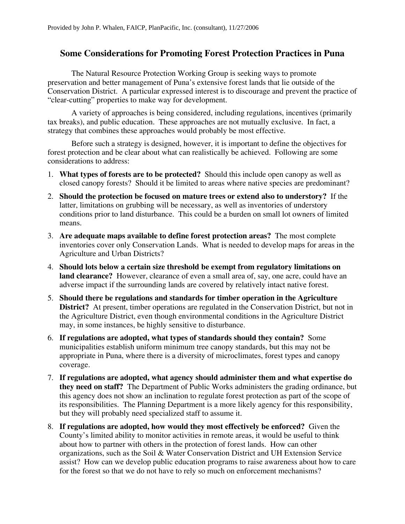## **Some Considerations for Promoting Forest Protection Practices in Puna**

The Natural Resource Protection Working Group is seeking ways to promote preservation and better management of Puna's extensive forest lands that lie outside of the Conservation District. A particular expressed interest is to discourage and prevent the practice of "clear-cutting" properties to make way for development.

A variety of approaches is being considered, including regulations, incentives (primarily tax breaks), and public education. These approaches are not mutually exclusive. In fact, a strategy that combines these approaches would probably be most effective.

Before such a strategy is designed, however, it is important to define the objectives for forest protection and be clear about what can realistically be achieved. Following are some considerations to address:

- 1. **What types of forests are to be protected?** Should this include open canopy as well as closed canopy forests? Should it be limited to areas where native species are predominant?
- 2. **Should the protection be focused on mature trees or extend also to understory?** If the latter, limitations on grubbing will be necessary, as well as inventories of understory conditions prior to land disturbance. This could be a burden on small lot owners of limited means.
- 3. **Are adequate maps available to define forest protection areas?** The most complete inventories cover only Conservation Lands. What is needed to develop maps for areas in the Agriculture and Urban Districts?
- 4. **Should lots below a certain size threshold be exempt from regulatory limitations on land clearance?** However, clearance of even a small area of, say, one acre, could have an adverse impact if the surrounding lands are covered by relatively intact native forest.
- 5. **Should there be regulations and standards for timber operation in the Agriculture District?** At present, timber operations are regulated in the Conservation District, but not in the Agriculture District, even though environmental conditions in the Agriculture District may, in some instances, be highly sensitive to disturbance.
- 6. **If regulations are adopted, what types of standards should they contain?** Some municipalities establish uniform minimum tree canopy standards, but this may not be appropriate in Puna, where there is a diversity of microclimates, forest types and canopy coverage.
- 7. **If regulations are adopted, what agency should administer them and what expertise do they need on staff?** The Department of Public Works administers the grading ordinance, but this agency does not show an inclination to regulate forest protection as part of the scope of its responsibilities. The Planning Department is a more likely agency for this responsibility, but they will probably need specialized staff to assume it.
- 8. **If regulations are adopted, how would they most effectively be enforced?** Given the County's limited ability to monitor activities in remote areas, it would be useful to think about how to partner with others in the protection of forest lands. How can other organizations, such as the Soil & Water Conservation District and UH Extension Service assist? How can we develop public education programs to raise awareness about how to care for the forest so that we do not have to rely so much on enforcement mechanisms?